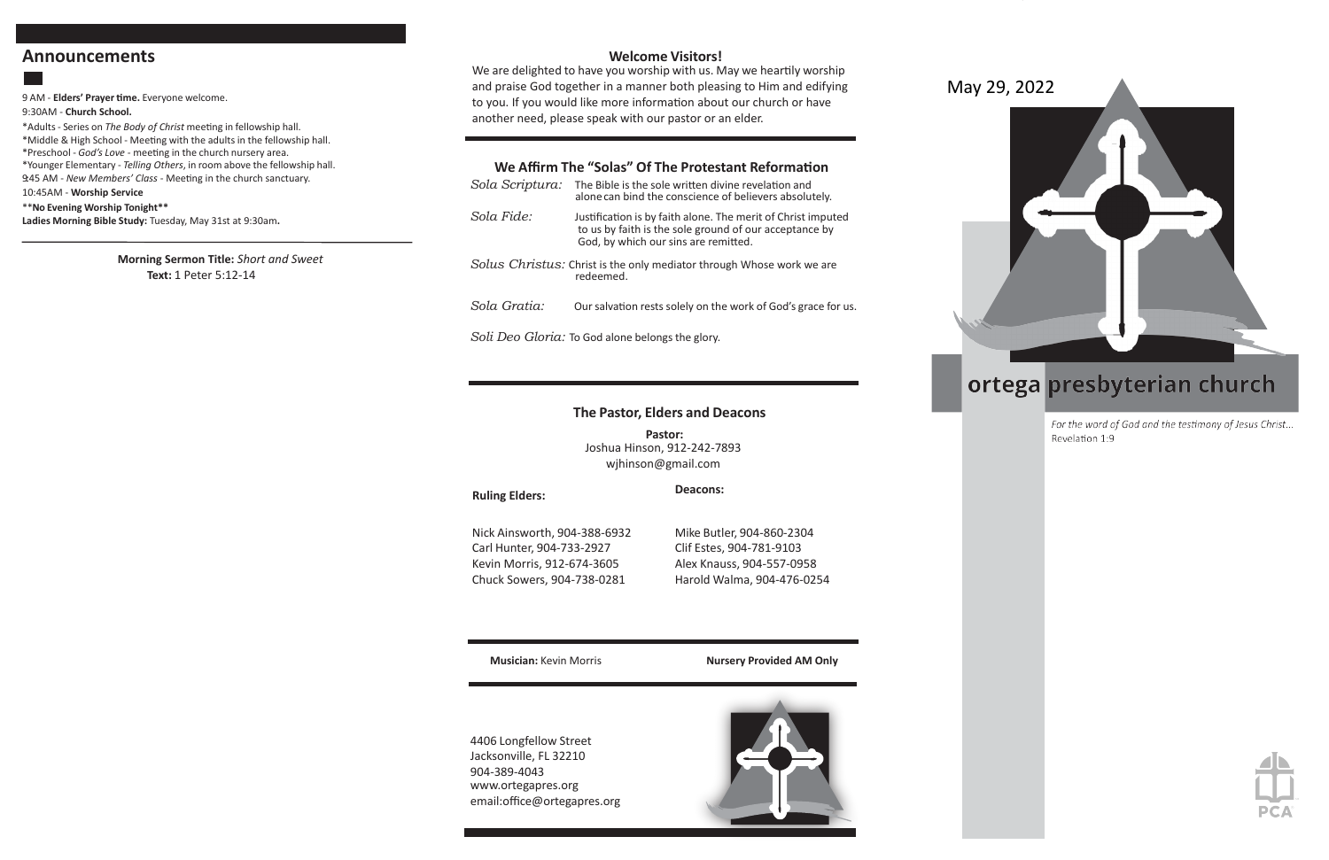## **Announcements**

9 AM - **Elders' Prayer time.** Everyone welcome.

### 9:30AM - **Church School.**

\*Adults - Series on *The Body of Christ* meeting in fellowship hall. \*Middle & High School - Meeting with the adults in the fellowship hall. \*Preschool - *God's Love -* meeting in the church nursery area. \*Younger Elementary - *Telling Others*, in room above the fellowship hall. 9:45 AM - New Members' Class - Meeting in the church sanctuary. 10:45AM - **Worship Service**

*Sola Scriptura:* The Bible is the sole written divine revelation and alone can bind the conscience of believers absolutely. *Sola Fide:* Justification is by faith alone. The merit of Christ imputed to us by faith is the sole ground of our acceptance by God, by which our sins are remitted. *Solus Christus:* Christ is the only mediator through Whose work we are redeemed. *Sola Gratia:* Our salvation rests solely on the work of God's grace for us.

\*\***No Evening Worship Tonight\*\* Ladies Morning Bible Study:** Tuesday, May 31st at 9:30am**.**

> **Morning Sermon Title:** *Short and Sweet* **Text:** 1 Peter 5:12-14

## **Welcome Visitors!**

We are delighted to have you worship with us. May we heartily worship and praise God together in a manner both pleasing to Him and edifying to you. If you would like more information about our church or have another need, please speak with our pastor or an elder.

## **We Affirm The "Solas" Of The Protestant Reformation**

*Soli Deo Gloria:* To God alone belongs the glory.

#### **Ruling Elders:**

## **The Pastor, Elders and Deacons**

**Pastor:** Joshua Hinson, 912-242-7893 [wjhinson@gmail.com](mailto:wjhinson@gmail.com)

**Deacons:**

Nick Ainsworth, 904-388-6932 Carl Hunter, 904-733-2927 Kevin Morris, 912-674-3605 Chuck Sowers, 904-738-0281

Mike Butler, 904-860-2304 Clif Estes, 904-781-9103 Alex Knauss, 904-557-0958 Harold Walma, 904-476-0254

**Musician:** Kevin Morris **Nursery Provided AM Only**

4406 Longfellow Street Jacksonville, FL 32210 904-389-4043 [www.ortegapres.org](http://www.ortegapres.org/) email:office@ortegapres.org



October 3, 2021



# ortega presbyterian church

For the word of God and the testimony of Jesus Christ... Revelation 1:9



## May 29, 2022